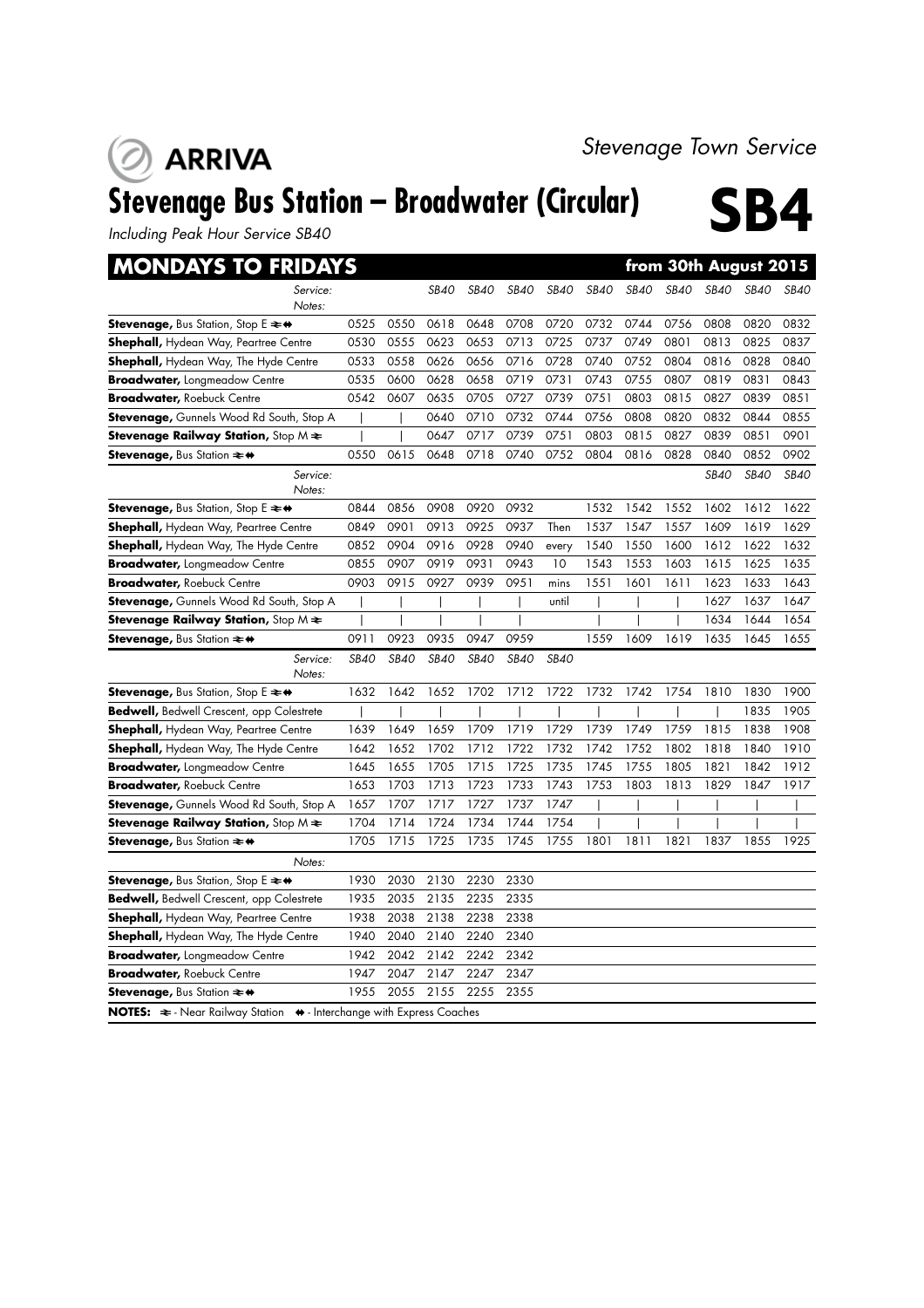## **ARRIVA**

# Stevenage Bus Station – Broadwater (Circular) **SB4**

*Including Peak Hour Service SB40*

| <b>MONDAYS TO FRIDAYS</b>                                                                               |             |             |             |             |             |             |             |             |             |             | from 30th August 2015 |             |
|---------------------------------------------------------------------------------------------------------|-------------|-------------|-------------|-------------|-------------|-------------|-------------|-------------|-------------|-------------|-----------------------|-------------|
| Service:                                                                                                |             |             | SB40        | <b>SB40</b> | <b>SB40</b> | <b>SB40</b> | <b>SB40</b> | <b>SB40</b> | <b>SB40</b> | <b>SB40</b> | <b>SB40</b>           | <b>SB40</b> |
| Notes:                                                                                                  |             |             |             |             |             |             |             |             |             |             |                       |             |
| <b>Stevenage, Bus Station, Stop E <math>\rightleftarrows</math> <math>\leftrightarrow</math></b>        | 0525        | 0550        | 0618        | 0648        | 0708        | 0720        | 0732        | 0744        | 0756        | 0808        | 0820                  | 0832        |
| <b>Shephall, Hydean Way, Peartree Centre</b>                                                            | 0530        | 0555        | 0623        | 0653        | 0713        | 0725        | 0737        | 0749        | 0801        | 0813        | 0825                  | 0837        |
| <b>Shephall,</b> Hydean Way, The Hyde Centre                                                            | 0533        | 0558        | 0626        | 0656        | 0716        | 0728        | 0740        | 0752        | 0804        | 0816        | 0828                  | 0840        |
| <b>Broadwater, Longmeadow Centre</b>                                                                    | 0535        | 0600        | 0628        | 0658        | 0719        | 0731        | 0743        | 0755        | 0807        | 0819        | 0831                  | 0843        |
| Broadwater, Roebuck Centre                                                                              | 0542        | 0607        | 0635        | 0705        | 0727        | 0739        | 0751        | 0803        | 0815        | 0827        | 0839                  | 0851        |
| <b>Stevenage,</b> Gunnels Wood Rd South, Stop A                                                         |             |             | 0640        | 0710        | 0732        | 0744        | 0756        | 0808        | 0820        | 0832        | 0844                  | 0855        |
| <b>Stevenage Railway Station,</b> Stop M $\bigstar$                                                     |             |             | 0647        | 0717        | 0739        | 0751        | 0803        | 0815        | 0827        | 0839        | 0851                  | 0901        |
| Stevenage, Bus Station $\rightleftharpoons$ ↔                                                           | 0550        | 0615        | 0648        | 0718        | 0740        | 0752        | 0804        | 0816        | 0828        | 0840        | 0852                  | 0902        |
| Service:<br>Notes:                                                                                      |             |             |             |             |             |             |             |             |             | <b>SB40</b> | <b>SB40</b>           | SB40        |
| <b>Stevenage, Bus Station, Stop E <math>\neq \bullet</math></b>                                         | 0844        | 0856        | 0908        | 0920        | 0932        |             | 1532        | 1542        | 1552        | 1602        | 1612                  | 1622        |
| <b>Shephall,</b> Hydean Way, Peartree Centre                                                            | 0849        | 0901        | 0913        | 0925        | 0937        | Then        | 1537        | 1547        | 1557        | 1609        | 1619                  | 1629        |
| <b>Shephall, Hydean Way, The Hyde Centre</b>                                                            | 0852        | 0904        | 0916        | 0928        | 0940        | every       | 1540        | 1550        | 1600        | 1612        | 1622                  | 1632        |
| <b>Broadwater,</b> Longmeadow Centre                                                                    | 0855        | 0907        | 0919        | 0931        | 0943        | 10          | 1543        | 1553        | 1603        | 1615        | 1625                  | 1635        |
| <b>Broadwater, Roebuck Centre</b>                                                                       | 0903        | 0915        | 0927        | 0939        | 0951        | mins        | 1551        | 1601        | 1611        | 1623        | 1633                  | 1643        |
| Stevenage, Gunnels Wood Rd South, Stop A                                                                |             |             |             |             |             | until       |             |             |             | 1627        | 1637                  | 1647        |
| <b>Stevenage Railway Station,</b> Stop M $\bigstar$                                                     |             |             |             |             |             |             |             |             |             | 1634        | 1644                  | 1654        |
| <b>Stevenage, Bus Station <math>\approx</math> <math>\leftrightarrow</math></b>                         | 0911        | 0923        | 0935        | 0947        | 0959        |             | 1559        | 1609        | 1619        | 1635        | 1645                  | 1655        |
| Service:<br>Notes:                                                                                      | <b>SB40</b> | <b>SB40</b> | <b>SB40</b> | <b>SB40</b> | <b>SB40</b> | <b>SB40</b> |             |             |             |             |                       |             |
| <b>Stevenage, Bus Station, Stop E <math>\rightleftarrows</math> <math>\leftrightarrow</math></b>        | 1632        | 1642        | 1652        | 1702        | 1712        | 1722        | 1732        | 1742        | 1754        | 1810        | 1830                  | 1900        |
| <b>Bedwell, Bedwell Crescent, opp Colestrete</b>                                                        |             |             |             |             |             |             |             |             |             |             | 1835                  | 1905        |
| <b>Shephall, Hydean Way, Peartree Centre</b>                                                            | 1639        | 1649        | 1659        | 1709        | 1719        | 1729        | 1739        | 1749        | 1759        | 1815        | 1838                  | 1908        |
| <b>Shephall,</b> Hydean Way, The Hyde Centre                                                            | 1642        | 1652        | 1702        | 1712        | 1722        | 1732        | 1742        | 1752        | 1802        | 1818        | 1840                  | 1910        |
| <b>Broadwater,</b> Longmeadow Centre                                                                    | 1645        | 1655        | 1705        | 1715        | 1725        | 1735        | 1745        | 1755        | 1805        | 1821        | 1842                  | 1912        |
| <b>Broadwater,</b> Roebuck Centre                                                                       | 1653        | 1703        | 1713        | 1723        | 1733        | 1743        | 1753        | 1803        | 1813        | 1829        | 1847                  | 1917        |
| Stevenage, Gunnels Wood Rd South, Stop A                                                                | 1657        | 1707        | 1717        | 1727        | 1737        | 1747        |             |             |             |             |                       |             |
| <b>Stevenage Railway Station,</b> Stop M $\Leftarrow$                                                   | 1704        | 1714        | 1724        | 1734        | 1744        | 1754        |             |             |             |             |                       |             |
| Stevenage, Bus Station $\rightleftharpoons$ $\leftrightarrow$                                           | 1705        | 1715        | 1725        | 1735        | 1745        | 1755        | 1801        | 1811        | 1821        | 1837        | 1855                  | 1925        |
| Notes:                                                                                                  |             |             |             |             |             |             |             |             |             |             |                       |             |
| <b>Stevenage, Bus Station, Stop E <math>\rightleftarrows</math> <math>\leftrightarrow</math></b>        | 1930        | 2030        | 2130        | 2230        | 2330        |             |             |             |             |             |                       |             |
| <b>Bedwell, Bedwell Crescent, opp Colestrete</b>                                                        | 1935        | 2035        | 2135        | 2235        | 2335        |             |             |             |             |             |                       |             |
| <b>Shephall, Hydean Way, Peartree Centre</b>                                                            | 1938        | 2038        | 2138        | 2238        | 2338        |             |             |             |             |             |                       |             |
| <b>Shephall, Hydean Way, The Hyde Centre</b>                                                            | 1940        | 2040        | 2140        | 2240        | 2340        |             |             |             |             |             |                       |             |
| <b>Broadwater,</b> Longmeadow Centre                                                                    | 1942        | 2042        | 2142        | 2242        | 2342        |             |             |             |             |             |                       |             |
| Broadwater, Roebuck Centre                                                                              | 1947        | 2047        | 2147        | 2247        | 2347        |             |             |             |             |             |                       |             |
| <b>Stevenage, Bus Station <math>\approx</math> <math>\leftrightarrow</math></b>                         | 1955        | 2055        | 2155        | 2255        | 2355        |             |             |             |             |             |                       |             |
| <b>NOTES:</b> $\Rightarrow$ - Near Railway Station $\leftrightarrow$ - Interchange with Express Coaches |             |             |             |             |             |             |             |             |             |             |                       |             |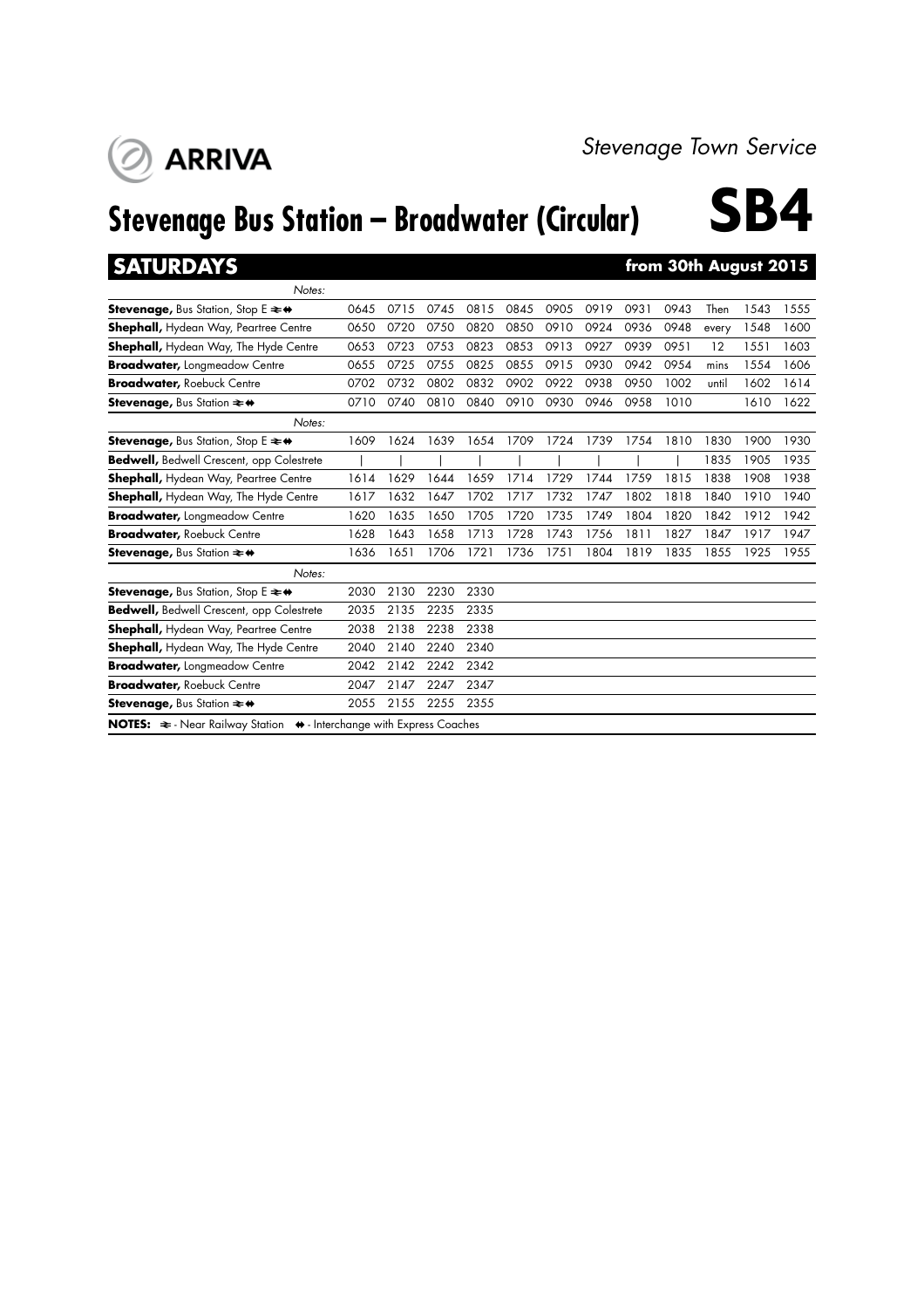

# **Stevenage Bus Station – Broadwater (Circular) SB4**



## **SATURDAYS from 30th August 2015**

**ARRIVA** 

| Notes:                                                                                           |      |      |      |      |      |      |      |      |      |       |      |      |
|--------------------------------------------------------------------------------------------------|------|------|------|------|------|------|------|------|------|-------|------|------|
| <b>Stevenage, Bus Station, Stop E <math>\neq \bullet</math></b>                                  | 0645 | 0715 | 0745 | 0815 | 0845 | 0905 | 0919 | 0931 | 0943 | Then  | 1543 | 1555 |
| <b>Shephall, Hydean Way, Peartree Centre</b>                                                     | 0650 | 0720 | 0750 | 0820 | 0850 | 0910 | 0924 | 0936 | 0948 | every | 1548 | 1600 |
| <b>Shephall, Hydean Way, The Hyde Centre</b>                                                     | 0653 | 0723 | 0753 | 0823 | 0853 | 0913 | 0927 | 0939 | 0951 | 12    | 1551 | 1603 |
| <b>Broadwater, Longmeadow Centre</b>                                                             | 0655 | 0725 | 0755 | 0825 | 0855 | 0915 | 0930 | 0942 | 0954 | mins  | 1554 | 1606 |
| <b>Broadwater, Roebuck Centre</b>                                                                | 0702 | 0732 | 0802 | 0832 | 0902 | 0922 | 0938 | 0950 | 1002 | until | 1602 | 1614 |
| <b>Stevenage, Bus Station <math>\rightleftharpoons</math> ↔</b>                                  | 0710 | 0740 | 0810 | 0840 | 0910 | 0930 | 0946 | 0958 | 1010 |       | 1610 | 1622 |
| Notes:                                                                                           |      |      |      |      |      |      |      |      |      |       |      |      |
| <b>Stevenage, Bus Station, Stop E <math>\rightleftarrows</math> <math>\leftrightarrow</math></b> | 1609 | 1624 | 1639 | 1654 | 1709 | 1724 | 1739 | 1754 | 1810 | 1830  | 1900 | 1930 |
| Bedwell, Bedwell Crescent, opp Colestrete                                                        |      |      |      |      |      |      |      |      |      | 1835  | 1905 | 1935 |
| <b>Shephall, Hydean Way, Peartree Centre</b>                                                     | 1614 | 1629 | 1644 | 1659 | 1714 | 1729 | 1744 | 1759 | 1815 | 1838  | 1908 | 1938 |
| <b>Shephall, Hydean Way, The Hyde Centre</b>                                                     | 1617 | 1632 | 1647 | 1702 | 1717 | 1732 | 1747 | 1802 | 1818 | 1840  | 1910 | 1940 |
| <b>Broadwater, Longmeadow Centre</b>                                                             | 1620 | 1635 | 1650 | 1705 | 1720 | 1735 | 1749 | 1804 | 1820 | 1842  | 1912 | 1942 |
| <b>Broadwater, Roebuck Centre</b>                                                                | 1628 | 1643 | 1658 | 1713 | 1728 | 1743 | 1756 | 1811 | 1827 | 1847  | 1917 | 1947 |
| Stevenage, Bus Station $\rightleftharpoons$ ↔                                                    | 1636 | 1651 | 1706 | 1721 | 1736 | 1751 | 1804 | 1819 | 1835 | 1855  | 1925 | 1955 |
| Notes:                                                                                           |      |      |      |      |      |      |      |      |      |       |      |      |
| <b>Stevenage, Bus Station, Stop E <math>\rightleftarrows</math> <math>\leftrightarrow</math></b> | 2030 | 2130 | 2230 | 2330 |      |      |      |      |      |       |      |      |
| <b>Bedwell, Bedwell Crescent, opp Colestrete</b>                                                 | 2035 | 2135 | 2235 | 2335 |      |      |      |      |      |       |      |      |
| <b>Shephall, Hydean Way, Peartree Centre</b>                                                     | 2038 | 2138 | 2238 | 2338 |      |      |      |      |      |       |      |      |
| <b>Shephall, Hydean Way, The Hyde Centre</b>                                                     | 2040 | 2140 | 2240 | 2340 |      |      |      |      |      |       |      |      |
| <b>Broadwater, Longmeadow Centre</b>                                                             | 2042 | 2142 | 2242 | 2342 |      |      |      |      |      |       |      |      |
| <b>Broadwater, Roebuck Centre</b>                                                                | 2047 | 2147 | 2247 | 2347 |      |      |      |      |      |       |      |      |
| <b>Stevenage, Bus Station <math>\neq</math> <math>\leftrightarrow</math></b>                     | 2055 | 2155 | 2255 | 2355 |      |      |      |      |      |       |      |      |
| NOTES: $\Leftarrow$ - Near Railway Station $\leftrightarrow$ - Interchange with Express Coaches  |      |      |      |      |      |      |      |      |      |       |      |      |